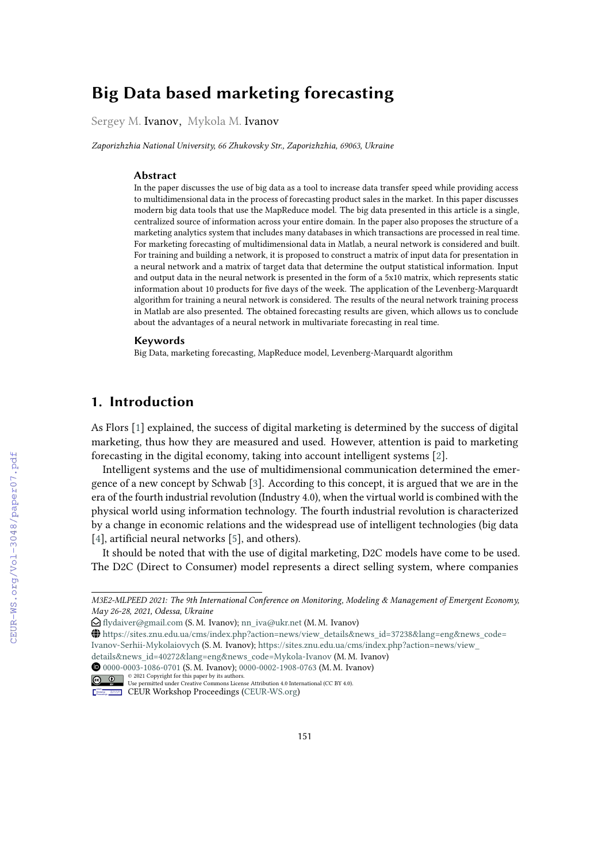# **Big Data based marketing forecasting**

Sergey M. Ivanov, Mykola M. Ivanov

*Zaporizhzhia National University, 66 Zhukovsky Str., Zaporizhzhia, 69063, Ukraine*

#### **Abstract**

In the paper discusses the use of big data as a tool to increase data transfer speed while providing access to multidimensional data in the process of forecasting product sales in the market. In this paper discusses modern big data tools that use the MapReduce model. The big data presented in this article is a single, centralized source of information across your entire domain. In the paper also proposes the structure of a marketing analytics system that includes many databases in which transactions are processed in real time. For marketing forecasting of multidimensional data in Matlab, a neural network is considered and built. For training and building a network, it is proposed to construct a matrix of input data for presentation in a neural network and a matrix of target data that determine the output statistical information. Input and output data in the neural network is presented in the form of a 5x10 matrix, which represents static information about 10 products for five days of the week. The application of the Levenberg-Marquardt algorithm for training a neural network is considered. The results of the neural network training process in Matlab are also presented. The obtained forecasting results are given, which allows us to conclude about the advantages of a neural network in multivariate forecasting in real time.

#### **Keywords**

Big Data, marketing forecasting, MapReduce model, Levenberg-Marquardt algorithm

# **1. Introduction**

As Flors [\[1\]](#page--1-0) explained, the success of digital marketing is determined by the success of digital marketing, thus how they are measured and used. However, attention is paid to marketing forecasting in the digital economy, taking into account intelligent systems [\[2\]](#page--1-1).

Intelligent systems and the use of multidimensional communication determined the emergence of a new concept by Schwab [\[3\]](#page--1-2). According to this concept, it is argued that we are in the era of the fourth industrial revolution (Industry 4.0), when the virtual world is combined with the physical world using information technology. The fourth industrial revolution is characterized by a change in economic relations and the widespread use of intelligent technologies (big data [\[4\]](#page--1-3), artificial neural networks [\[5\]](#page--1-4), and others).

It should be noted that with the use of digital marketing, D2C models have come to be used. The D2C (Direct to Consumer) model represents a direct selling system, where companies

GLOBE [https://sites.znu.edu.ua/cms/index.php?action=news/view\\_details&news\\_id=37238&lang=eng&news\\_code=](https://sites.znu.edu.ua/cms/index.php?action=news/view_details&news_id=37238&lang=eng&news_code=Ivanov-Serhii-Mykolaiovych) [Ivanov-Serhii-Mykolaiovych](https://sites.znu.edu.ua/cms/index.php?action=news/view_details&news_id=37238&lang=eng&news_code=Ivanov-Serhii-Mykolaiovych) (S. M. Ivanov); [https://sites.znu.edu.ua/cms/index.php?action=news/view\\_](https://sites.znu.edu.ua/cms/index.php?action=news/view_details&news_id=40272&lang=eng&news_code=Mykola-Ivanov)

*M3E2-MLPEED 2021: The 9th International Conference on Monitoring, Modeling & Management of Emergent Economy, May 26-28, 2021, Odessa, Ukraine*

 $\bigcirc$  [flydaiver@gmail.com](mailto:flydaiver@gmail.com) (S. M. Ivanov); [nn\\_iva@ukr.net](mailto:nn_iva@ukr.net) (M. M. Ivanov)

[details&news\\_id=40272&lang=eng&news\\_code=Mykola-Ivanov](https://sites.znu.edu.ua/cms/index.php?action=news/view_details&news_id=40272&lang=eng&news_code=Mykola-Ivanov) (M. M. Ivanov)

Orcid [0000-0003-1086-0701](https://orcid.org/0000-0003-1086-0701) (S. M. Ivanov); [0000-0002-1908-0763](https://orcid.org/0000-0002-1908-0763) (M. M. Ivanov)

<sup>© 2021</sup> Copyright for this paper by its authors. Use permitted under Creative Commons License Attribution 4.0 International (CC BY 4.0).

CEUR Workshop [Proceedings](http://ceur-ws.org) [\(CEUR-WS.org\)](http://ceur-ws.org)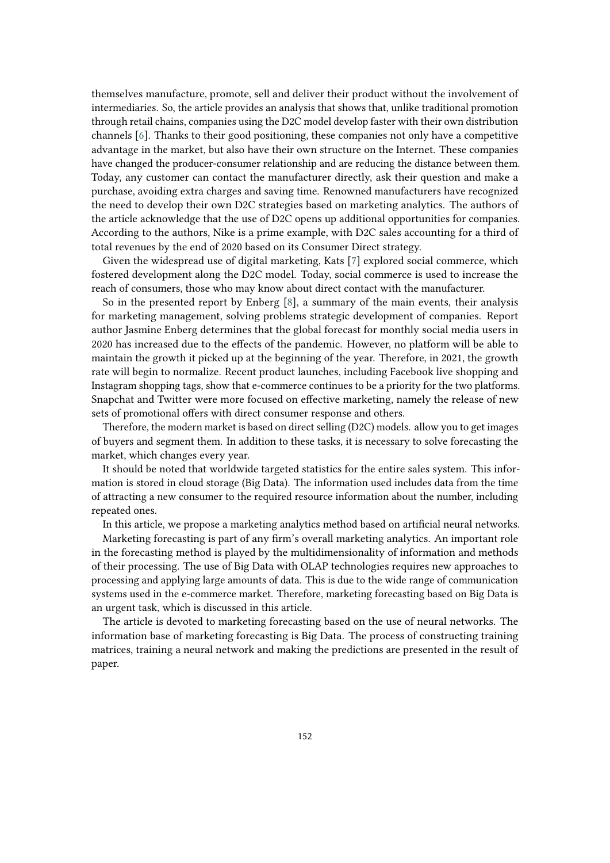themselves manufacture, promote, sell and deliver their product without the involvement of intermediaries. So, the article provides an analysis that shows that, unlike traditional promotion through retail chains, companies using the D2C model develop faster with their own distribution channels [\[6\]](#page-10-0). Thanks to their good positioning, these companies not only have a competitive advantage in the market, but also have their own structure on the Internet. These companies have changed the producer-consumer relationship and are reducing the distance between them. Today, any customer can contact the manufacturer directly, ask their question and make a purchase, avoiding extra charges and saving time. Renowned manufacturers have recognized the need to develop their own D2C strategies based on marketing analytics. The authors of the article acknowledge that the use of D2C opens up additional opportunities for companies. According to the authors, Nike is a prime example, with D2C sales accounting for a third of total revenues by the end of 2020 based on its Consumer Direct strategy.

Given the widespread use of digital marketing, Kats [\[7\]](#page-10-1) explored social commerce, which fostered development along the D2C model. Today, social commerce is used to increase the reach of consumers, those who may know about direct contact with the manufacturer.

So in the presented report by Enberg [\[8\]](#page-10-2), a summary of the main events, their analysis for marketing management, solving problems strategic development of companies. Report author Jasmine Enberg determines that the global forecast for monthly social media users in 2020 has increased due to the effects of the pandemic. However, no platform will be able to maintain the growth it picked up at the beginning of the year. Therefore, in 2021, the growth rate will begin to normalize. Recent product launches, including Facebook live shopping and Instagram shopping tags, show that e-commerce continues to be a priority for the two platforms. Snapchat and Twitter were more focused on effective marketing, namely the release of new sets of promotional offers with direct consumer response and others.

Therefore, the modern market is based on direct selling (D2C) models. allow you to get images of buyers and segment them. In addition to these tasks, it is necessary to solve forecasting the market, which changes every year.

It should be noted that worldwide targeted statistics for the entire sales system. This information is stored in cloud storage (Big Data). The information used includes data from the time of attracting a new consumer to the required resource information about the number, including repeated ones.

In this article, we propose a marketing analytics method based on artificial neural networks.

Marketing forecasting is part of any firm's overall marketing analytics. An important role in the forecasting method is played by the multidimensionality of information and methods of their processing. The use of Big Data with OLAP technologies requires new approaches to processing and applying large amounts of data. This is due to the wide range of communication systems used in the e-commerce market. Therefore, marketing forecasting based on Big Data is an urgent task, which is discussed in this article.

The article is devoted to marketing forecasting based on the use of neural networks. The information base of marketing forecasting is Big Data. The process of constructing training matrices, training a neural network and making the predictions are presented in the result of paper.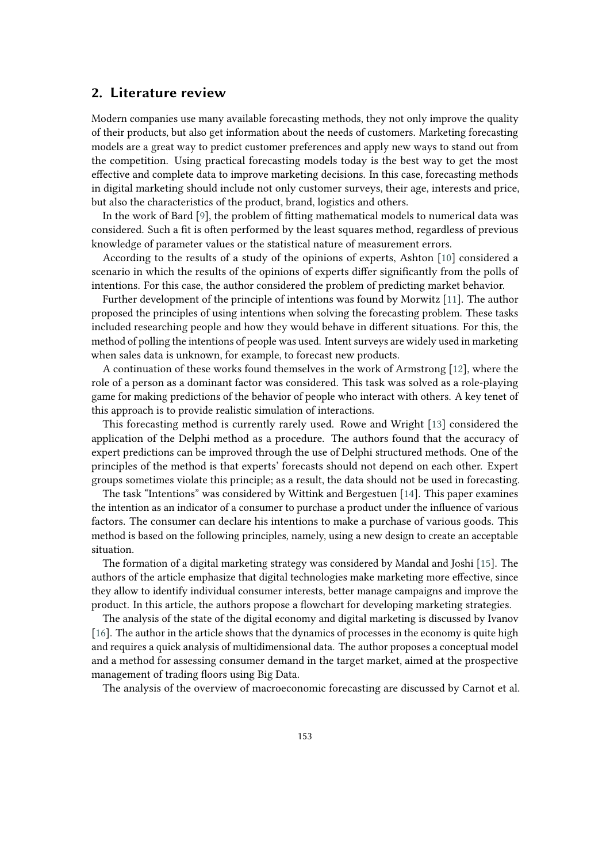### **2. Literature review**

Modern companies use many available forecasting methods, they not only improve the quality of their products, but also get information about the needs of customers. Marketing forecasting models are a great way to predict customer preferences and apply new ways to stand out from the competition. Using practical forecasting models today is the best way to get the most effective and complete data to improve marketing decisions. In this case, forecasting methods in digital marketing should include not only customer surveys, their age, interests and price, but also the characteristics of the product, brand, logistics and others.

In the work of Bard [\[9\]](#page-10-3), the problem of fitting mathematical models to numerical data was considered. Such a fit is often performed by the least squares method, regardless of previous knowledge of parameter values or the statistical nature of measurement errors.

According to the results of a study of the opinions of experts, Ashton [\[10\]](#page-10-4) considered a scenario in which the results of the opinions of experts differ significantly from the polls of intentions. For this case, the author considered the problem of predicting market behavior.

Further development of the principle of intentions was found by Morwitz [\[11\]](#page-10-5). The author proposed the principles of using intentions when solving the forecasting problem. These tasks included researching people and how they would behave in different situations. For this, the method of polling the intentions of people was used. Intent surveys are widely used in marketing when sales data is unknown, for example, to forecast new products.

A continuation of these works found themselves in the work of Armstrong [\[12\]](#page-10-6), where the role of a person as a dominant factor was considered. This task was solved as a role-playing game for making predictions of the behavior of people who interact with others. A key tenet of this approach is to provide realistic simulation of interactions.

This forecasting method is currently rarely used. Rowe and Wright [\[13\]](#page-10-7) considered the application of the Delphi method as a procedure. The authors found that the accuracy of expert predictions can be improved through the use of Delphi structured methods. One of the principles of the method is that experts' forecasts should not depend on each other. Expert groups sometimes violate this principle; as a result, the data should not be used in forecasting.

The task "Intentions" was considered by Wittink and Bergestuen [\[14\]](#page-10-8). This paper examines the intention as an indicator of a consumer to purchase a product under the influence of various factors. The consumer can declare his intentions to make a purchase of various goods. This method is based on the following principles, namely, using a new design to create an acceptable situation.

The formation of a digital marketing strategy was considered by Mandal and Joshi [\[15\]](#page-10-9). The authors of the article emphasize that digital technologies make marketing more effective, since they allow to identify individual consumer interests, better manage campaigns and improve the product. In this article, the authors propose a flowchart for developing marketing strategies.

The analysis of the state of the digital economy and digital marketing is discussed by Ivanov [\[16\]](#page-10-10). The author in the article shows that the dynamics of processes in the economy is quite high and requires a quick analysis of multidimensional data. The author proposes a conceptual model and a method for assessing consumer demand in the target market, aimed at the prospective management of trading floors using Big Data.

The analysis of the overview of macroeconomic forecasting are discussed by Carnot et al.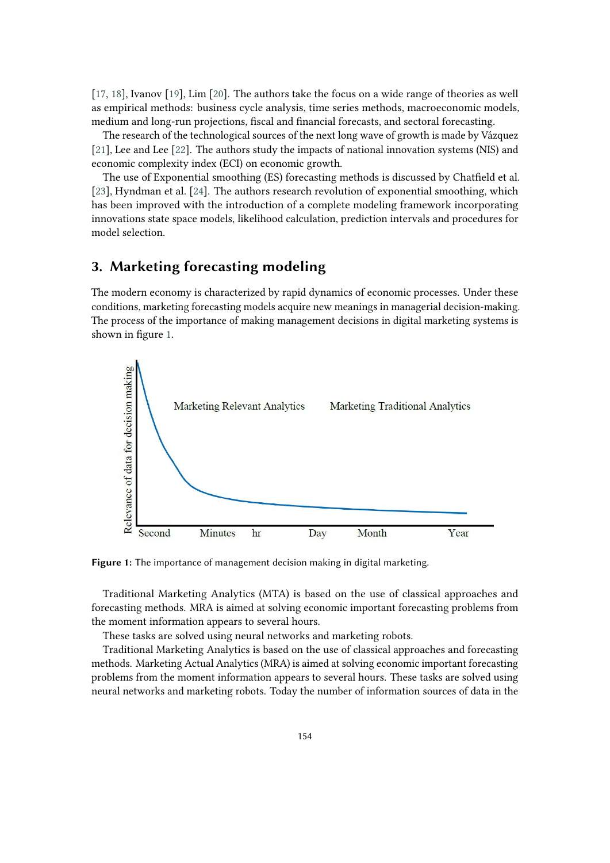[\[17,](#page-10-11) [18\]](#page-10-12), Ivanov [\[19\]](#page-10-13), Lim [\[20\]](#page-10-14). The authors take the focus on a wide range of theories as well as empirical methods: business cycle analysis, time series methods, macroeconomic models, medium and long-run projections, fiscal and financial forecasts, and sectoral forecasting.

The research of the technological sources of the next long wave of growth is made by Vázquez [\[21\]](#page-11-0), Lee and Lee [\[22\]](#page-11-1). The authors study the impacts of national innovation systems (NIS) and economic complexity index (ECI) on economic growth.

The use of Exponential smoothing (ES) forecasting methods is discussed by Chatfield et al. [\[23\]](#page-11-2), Hyndman et al. [\[24\]](#page-11-3). The authors research revolution of exponential smoothing, which has been improved with the introduction of a complete modeling framework incorporating innovations state space models, likelihood calculation, prediction intervals and procedures for model selection.

# **3. Marketing forecasting modeling**

The modern economy is characterized by rapid dynamics of economic processes. Under these conditions, marketing forecasting models acquire new meanings in managerial decision-making. The process of the importance of making management decisions in digital marketing systems is shown in figure [1.](#page-3-0)



<span id="page-3-0"></span>**Figure 1:** The importance of management decision making in digital marketing.

Traditional Marketing Analytics (MTA) is based on the use of classical approaches and forecasting methods. MRA is aimed at solving economic important forecasting problems from the moment information appears to several hours.

These tasks are solved using neural networks and marketing robots.

Traditional Marketing Analytics is based on the use of classical approaches and forecasting methods. Marketing Actual Analytics (MRA) is aimed at solving economic important forecasting problems from the moment information appears to several hours. These tasks are solved using neural networks and marketing robots. Today the number of information sources of data in the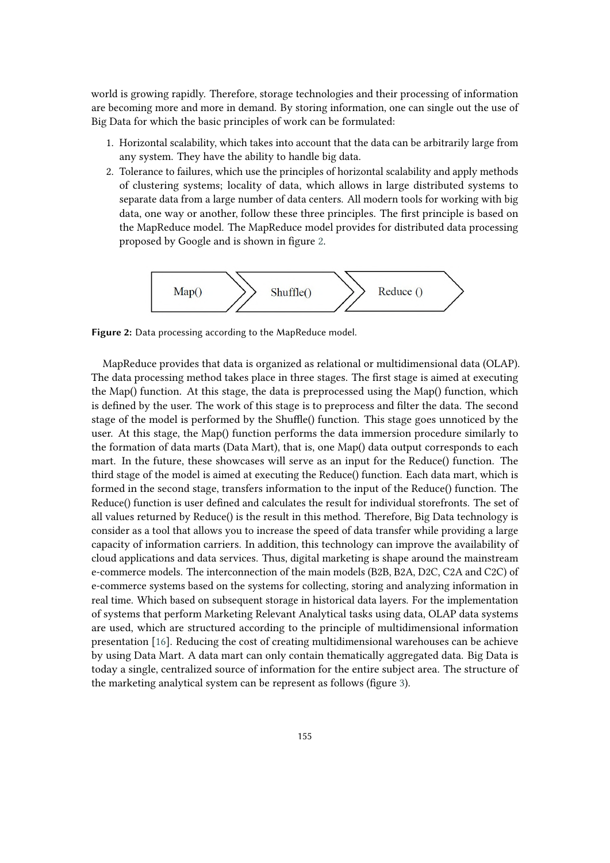world is growing rapidly. Therefore, storage technologies and their processing of information are becoming more and more in demand. By storing information, one can single out the use of Big Data for which the basic principles of work can be formulated:

- 1. Horizontal scalability, which takes into account that the data can be arbitrarily large from any system. They have the ability to handle big data.
- 2. Tolerance to failures, which use the principles of horizontal scalability and apply methods of clustering systems; locality of data, which allows in large distributed systems to separate data from a large number of data centers. All modern tools for working with big data, one way or another, follow these three principles. The first principle is based on the MapReduce model. The MapReduce model provides for distributed data processing proposed by Google and is shown in figure [2.](#page-4-0)



<span id="page-4-0"></span>**Figure 2:** Data processing according to the MapReduce model.

MapReduce provides that data is organized as relational or multidimensional data (OLAP). The data processing method takes place in three stages. The first stage is aimed at executing the Map() function. At this stage, the data is preprocessed using the Map() function, which is defined by the user. The work of this stage is to preprocess and filter the data. The second stage of the model is performed by the Shuffle() function. This stage goes unnoticed by the user. At this stage, the Map() function performs the data immersion procedure similarly to the formation of data marts (Data Mart), that is, one Map() data output corresponds to each mart. In the future, these showcases will serve as an input for the Reduce() function. The third stage of the model is aimed at executing the Reduce() function. Each data mart, which is formed in the second stage, transfers information to the input of the Reduce() function. The Reduce() function is user defined and calculates the result for individual storefronts. The set of all values returned by Reduce() is the result in this method. Therefore, Big Data technology is consider as a tool that allows you to increase the speed of data transfer while providing a large capacity of information carriers. In addition, this technology can improve the availability of cloud applications and data services. Thus, digital marketing is shape around the mainstream e-commerce models. The interconnection of the main models (B2B, B2A, D2C, C2A and C2C) of e-commerce systems based on the systems for collecting, storing and analyzing information in real time. Which based on subsequent storage in historical data layers. For the implementation of systems that perform Marketing Relevant Analytical tasks using data, OLAP data systems are used, which are structured according to the principle of multidimensional information presentation [\[16\]](#page-10-10). Reducing the cost of creating multidimensional warehouses can be achieve by using Data Mart. A data mart can only contain thematically aggregated data. Big Data is today a single, centralized source of information for the entire subject area. The structure of the marketing analytical system can be represent as follows (figure [3\)](#page-5-0).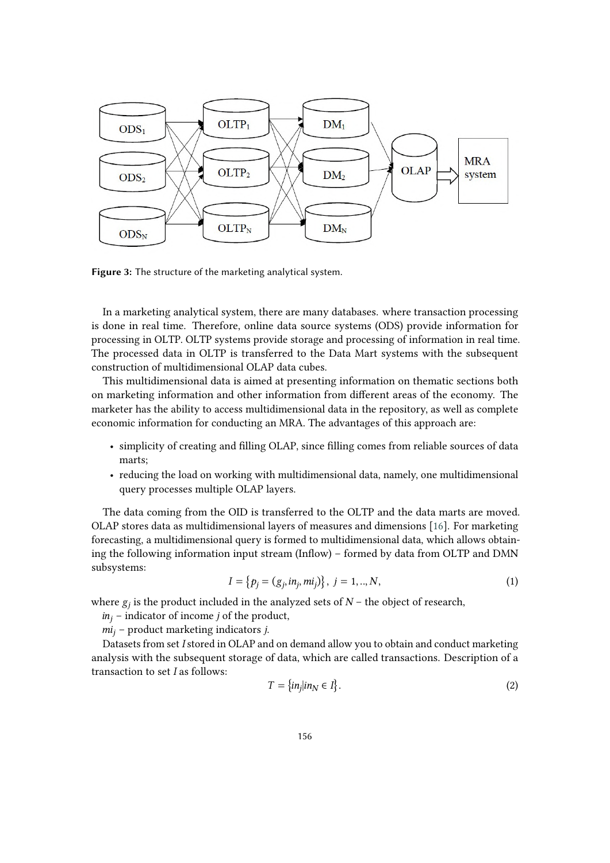

<span id="page-5-0"></span>**Figure 3:** The structure of the marketing analytical system.

In a marketing analytical system, there are many databases. where transaction processing is done in real time. Therefore, online data source systems (ODS) provide information for processing in OLTP. OLTP systems provide storage and processing of information in real time. The processed data in OLTP is transferred to the Data Mart systems with the subsequent construction of multidimensional OLAP data cubes.

This multidimensional data is aimed at presenting information on thematic sections both on marketing information and other information from different areas of the economy. The marketer has the ability to access multidimensional data in the repository, as well as complete economic information for conducting an MRA. The advantages of this approach are:

- simplicity of creating and filling OLAP, since filling comes from reliable sources of data marts;
- reducing the load on working with multidimensional data, namely, one multidimensional query processes multiple OLAP layers.

The data coming from the OID is transferred to the OLTP and the data marts are moved. OLAP stores data as multidimensional layers of measures and dimensions [\[16\]](#page-10-10). For marketing forecasting, a multidimensional query is formed to multidimensional data, which allows obtaining the following information input stream (Inflow) – formed by data from OLTP and DMN subsystems:

$$
I = \{p_j = (g_j, in_j, mi_j)\}, \ j = 1, ..., N,
$$
\n(1)

where  $g_j$  is the product included in the analyzed sets of  $N$  – the object of research,

 $in_j$  – indicator of income *j* of the product,

 $mi_i$  – product marketing indicators *j*.

Datasets from set I stored in OLAP and on demand allow you to obtain and conduct marketing analysis with the subsequent storage of data, which are called transactions. Description of a transaction to set  $I$  as follows:

$$
T = \{in_j | in_N \in I\}.
$$
 (2)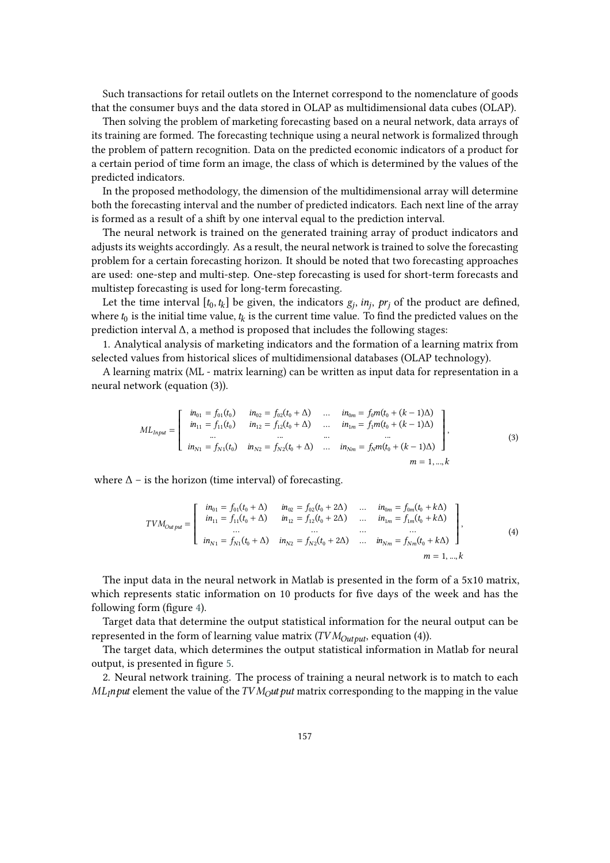Such transactions for retail outlets on the Internet correspond to the nomenclature of goods that the consumer buys and the data stored in OLAP as multidimensional data cubes (OLAP).

Then solving the problem of marketing forecasting based on a neural network, data arrays of its training are formed. The forecasting technique using a neural network is formalized through the problem of pattern recognition. Data on the predicted economic indicators of a product for a certain period of time form an image, the class of which is determined by the values of the predicted indicators.

In the proposed methodology, the dimension of the multidimensional array will determine both the forecasting interval and the number of predicted indicators. Each next line of the array is formed as a result of a shift by one interval equal to the prediction interval.

The neural network is trained on the generated training array of product indicators and adjusts its weights accordingly. As a result, the neural network is trained to solve the forecasting problem for a certain forecasting horizon. It should be noted that two forecasting approaches are used: one-step and multi-step. One-step forecasting is used for short-term forecasts and multistep forecasting is used for long-term forecasting.

Let the time interval  $[t_0, t_k]$  be given, the indicators  $g_j$ ,  $in_j$ ,  $pr_j$  of the product are defined, where  $t_0$  is the initial time value,  $t_k$  is the current time value. To find the predicted values on the prediction interval Δ, a method is proposed that includes the following stages:

1. Analytical analysis of marketing indicators and the formation of a learning matrix from selected values from historical slices of multidimensional databases (OLAP technology).

A learning matrix (ML - matrix learning) can be written as input data for representation in a neural network (equation (3)).

$$
ML_{Input} = \begin{bmatrix} in_{01} = f_{01}(t_0) & in_{02} = f_{02}(t_0 + \Delta) & \dots & in_{0m} = f_0 m(t_0 + (k - 1)\Delta) \\ in_{11} = f_{11}(t_0) & in_{12} = f_{12}(t_0 + \Delta) & \dots & in_{1m} = f_1 m(t_0 + (k - 1)\Delta) \\ \dots & \dots & \dots & \dots \\ in_{N1} = f_{N1}(t_0) & in_{N2} = f_{N2}(t_0 + \Delta) & \dots & in_{Nm} = f_N m(t_0 + (k - 1)\Delta) \end{bmatrix},
$$
(3)

where  $\Delta$  – is the horizon (time interval) of forecasting.

$$
TVM_{Output} = \begin{bmatrix} in_{01} = f_{01}(t_0 + \Delta) & in_{02} = f_{02}(t_0 + 2\Delta) & \dots & in_{0m} = f_{0m}(t_0 + k\Delta) \\ in_{11} = f_{11}(t_0 + \Delta) & in_{12} = f_{12}(t_0 + 2\Delta) & \dots & in_{1m} = f_{1m}(t_0 + k\Delta) \\ \dots & \dots & \dots & \dots \\ in_{N1} = f_{N1}(t_0 + \Delta) & in_{N2} = f_{N2}(t_0 + 2\Delta) & \dots & in_{Nm} = f_{Nm}(t_0 + k\Delta) \\ \dots & \dots & \dots & \dots \\ in_{Nm} = 1, ..., k \end{bmatrix},
$$
\n(4)

The input data in the neural network in Matlab is presented in the form of a 5x10 matrix, which represents static information on 10 products for five days of the week and has the following form (figure [4\)](#page-7-0).

Target data that determine the output statistical information for the neural output can be represented in the form of learning value matrix ( $TVM_{Out \text{out}}$ , equation (4)).

The target data, which determines the output statistical information in Matlab for neural output, is presented in figure [5.](#page-7-1)

2. Neural network training. The process of training a neural network is to match to each  $ML<sub>l</sub>$  mput element the value of the  $TVM<sub>l</sub>$ ut put matrix corresponding to the mapping in the value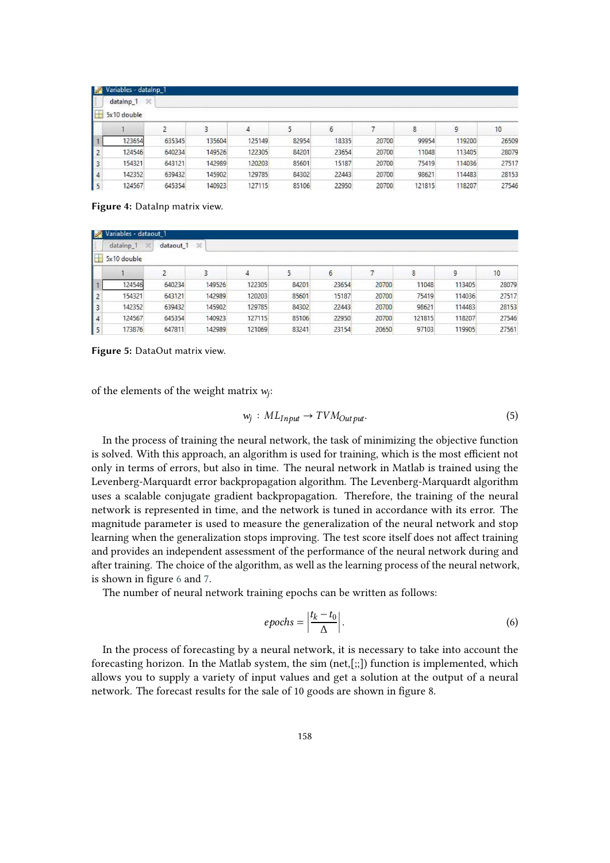| $\mathbb{Z}$ | Variables - datalnp_1 |        |        |        |       |       |       |        |        |                  |
|--------------|-----------------------|--------|--------|--------|-------|-------|-------|--------|--------|------------------|
|              | ×<br>datalnp_1        |        |        |        |       |       |       |        |        |                  |
| <b>SHE</b>   | 5x10 double           |        |        |        |       |       |       |        |        |                  |
|              |                       |        | 3      | 4      |       | 6     |       | 8      | 9      | 10 <sup>10</sup> |
|              | 123654                | 635345 | 135604 | 125149 | 82954 | 18335 | 20700 | 99954  | 119200 | 26509            |
| $\vert$ 2    | 124546                | 640234 | 149526 | 122305 | 84201 | 23654 | 20700 | 11048  | 113405 | 28079            |
| l 3          | 154321                | 643121 | 142989 | 120203 | 85601 | 15187 | 20700 | 75419  | 114036 | 27517            |
| $\vert$ 4    | 142352                | 639432 | 145902 | 129785 | 84302 | 22443 | 20700 | 98621  | 114483 | 28153            |
| 5            | 124567                | 645354 | 140923 | 127115 | 85106 | 22950 | 20700 | 121815 | 118207 | 27546            |

<span id="page-7-0"></span>Figure 4: DataInp matrix view.

| $\mathbb{Z}$ | Variables - dataout 1     |                      |              |        |       |       |       |        |        |       |
|--------------|---------------------------|----------------------|--------------|--------|-------|-------|-------|--------|--------|-------|
|              | datalnp_1<br>$\mathbb{X}$ | dataout <sub>1</sub> | $\mathbb{X}$ |        |       |       |       |        |        |       |
| H            | 5x10 double               |                      |              |        |       |       |       |        |        |       |
|              |                           |                      |              | 4      | 5     | 6     |       | 8      | 9      | 10    |
|              | 124546                    | 640234               | 149526       | 122305 | 84201 | 23654 | 20700 | 11048  | 113405 | 28079 |
| 12           | 154321                    | 643121               | 142989       | 120203 | 85601 | 15187 | 20700 | 75419  | 114036 | 27517 |
| $\vert$ 3    | 142352                    | 639432               | 145902       | 129785 | 84302 | 22443 | 20700 | 98621  | 114483 | 28153 |
| 4            | 124567                    | 645354               | 140923       | 127115 | 85106 | 22950 | 20700 | 121815 | 118207 | 27546 |
| $\vert$ 5    | 173876                    | 647811               | 142989       | 121069 | 83241 | 23154 | 20650 | 97103  | 119905 | 27561 |

<span id="page-7-1"></span>**Figure 5:** DataOut matrix view.

of the elements of the weight matrix  $w_j$ :

$$
w_j: ML_{Input} \to TVM_{Output}.\tag{5}
$$

In the process of training the neural network, the task of minimizing the objective function is solved. With this approach, an algorithm is used for training, which is the most efficient not only in terms of errors, but also in time. The neural network in Matlab is trained using the Levenberg-Marquardt error backpropagation algorithm. The Levenberg-Marquardt algorithm uses a scalable conjugate gradient backpropagation. Therefore, the training of the neural network is represented in time, and the network is tuned in accordance with its error. The magnitude parameter is used to measure the generalization of the neural network and stop learning when the generalization stops improving. The test score itself does not affect training and provides an independent assessment of the performance of the neural network during and after training. The choice of the algorithm, as well as the learning process of the neural network, is shown in figure [6](#page-8-0) and [7.](#page-8-1)

The number of neural network training epochs can be written as follows:

$$
epochs = \left| \frac{t_k - t_0}{\Delta} \right|.
$$
\n(6)

In the process of forecasting by a neural network, it is necessary to take into account the forecasting horizon. In the Matlab system, the sim  $(net, [$ ;;]) function is implemented, which allows you to supply a variety of input values and get a solution at the output of a neural network. The forecast results for the sale of 10 goods are shown in figure 8.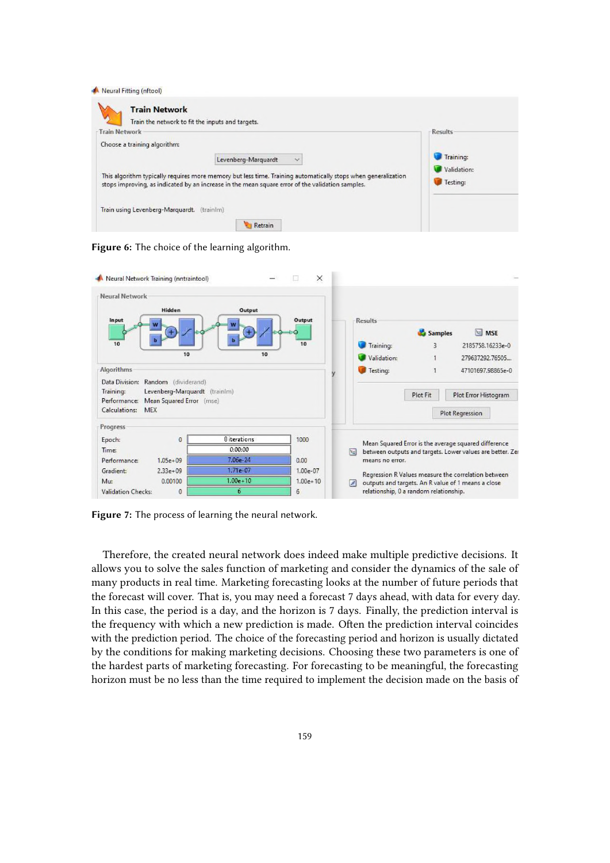| <b>Train Network</b>         | Train the network to fit the inputs and targets.                                                                                                                                                                  | <b>Results</b>          |
|------------------------------|-------------------------------------------------------------------------------------------------------------------------------------------------------------------------------------------------------------------|-------------------------|
| Choose a training algorithm: |                                                                                                                                                                                                                   |                         |
|                              | Levenberg-Marquardt<br>$\sim$                                                                                                                                                                                     | Training:               |
|                              | This algorithm typically requires more memory but less time. Training automatically stops when generalization<br>stops improving, as indicated by an increase in the mean square error of the validation samples. | Validation:<br>Testing: |

<span id="page-8-0"></span>**Figure 6:** The choice of the learning algorithm.



<span id="page-8-1"></span>**Figure 7:** The process of learning the neural network.

Therefore, the created neural network does indeed make multiple predictive decisions. It allows you to solve the sales function of marketing and consider the dynamics of the sale of many products in real time. Marketing forecasting looks at the number of future periods that the forecast will cover. That is, you may need a forecast 7 days ahead, with data for every day. In this case, the period is a day, and the horizon is 7 days. Finally, the prediction interval is the frequency with which a new prediction is made. Often the prediction interval coincides with the prediction period. The choice of the forecasting period and horizon is usually dictated by the conditions for making marketing decisions. Choosing these two parameters is one of the hardest parts of marketing forecasting. For forecasting to be meaningful, the forecasting horizon must be no less than the time required to implement the decision made on the basis of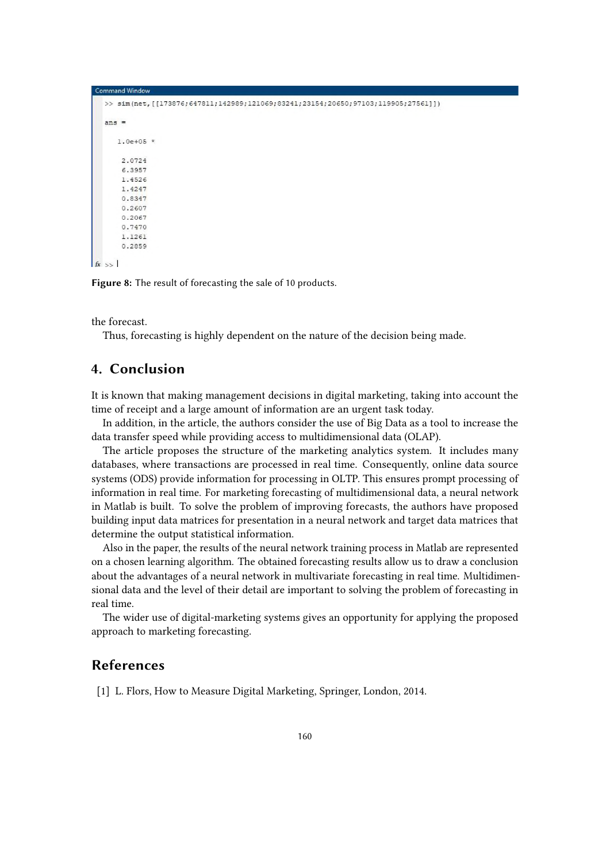```
>> sim(net, [[173876;647811;142989;121069;83241;23154;20650;97103;119905;27561]])
   ane =1.0e+05 *
       2.0724
       6.3957
       1.4526
       1.4247
       0.8347
       0.2607
       0.2067
       0.7470
       1.1261
       0.2859
f_x \gg
```
**Figure 8:** The result of forecasting the sale of 10 products.

the forecast.

Thus, forecasting is highly dependent on the nature of the decision being made.

## **4. Conclusion**

It is known that making management decisions in digital marketing, taking into account the time of receipt and a large amount of information are an urgent task today.

In addition, in the article, the authors consider the use of Big Data as a tool to increase the data transfer speed while providing access to multidimensional data (OLAP).

The article proposes the structure of the marketing analytics system. It includes many databases, where transactions are processed in real time. Consequently, online data source systems (ODS) provide information for processing in OLTP. This ensures prompt processing of information in real time. For marketing forecasting of multidimensional data, a neural network in Matlab is built. To solve the problem of improving forecasts, the authors have proposed building input data matrices for presentation in a neural network and target data matrices that determine the output statistical information.

Also in the paper, the results of the neural network training process in Matlab are represented on a chosen learning algorithm. The obtained forecasting results allow us to draw a conclusion about the advantages of a neural network in multivariate forecasting in real time. Multidimensional data and the level of their detail are important to solving the problem of forecasting in real time.

The wider use of digital-marketing systems gives an opportunity for applying the proposed approach to marketing forecasting.

## **References**

[1] L. Flors, How to Measure Digital Marketing, Springer, London, 2014.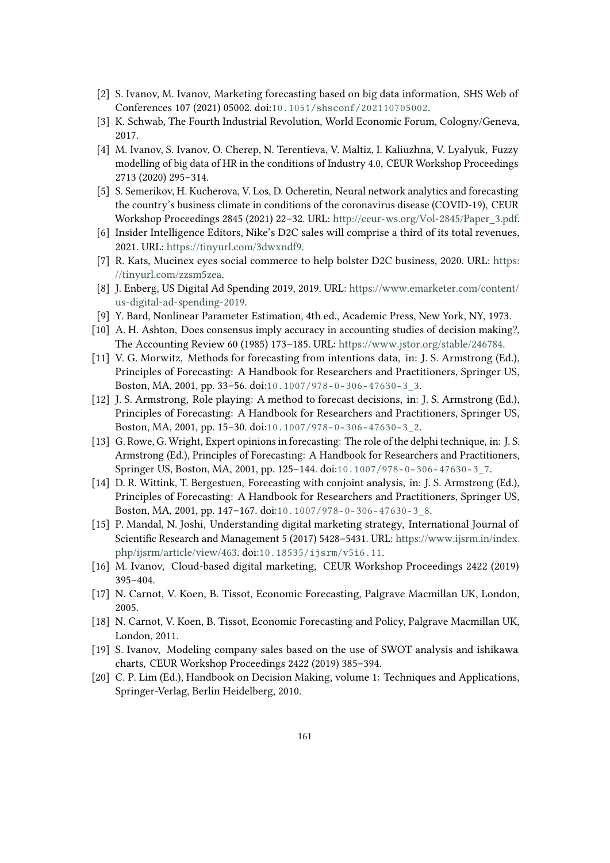- [2] S. Ivanov, M. Ivanov, Marketing forecasting based on big data information, SHS Web of Conferences 107 (2021) 05002. doi:[10.1051/shsconf/202110705002](http://dx.doi.org/10.1051/shsconf/202110705002).
- [3] K. Schwab, The Fourth Industrial Revolution, World Economic Forum, Cologny/Geneva, 2017.
- [4] M. Ivanov, S. Ivanov, O. Cherep, N. Terentieva, V. Maltiz, I. Kaliuzhna, V. Lyalyuk, Fuzzy modelling of big data of HR in the conditions of Industry 4.0, CEUR Workshop Proceedings 2713 (2020) 295–314.
- [5] S. Semerikov, H. Kucherova, V. Los, D. Ocheretin, Neural network analytics and forecasting the country's business climate in conditions of the coronavirus disease (COVID-19), CEUR Workshop Proceedings 2845 (2021) 22–32. URL: [http://ceur-ws.org/Vol-2845/Paper\\_3.pdf.](http://ceur-ws.org/Vol-2845/Paper_3.pdf)
- <span id="page-10-0"></span>[6] Insider Intelligence Editors, Nike's D2C sales will comprise a third of its total revenues, 2021. URL: [https://tinyurl.com/3dwxndf9.](https://tinyurl.com/3dwxndf9)
- <span id="page-10-1"></span>[7] R. Kats, Mucinex eyes social commerce to help bolster D2C business, 2020. URL: [https:](https://tinyurl.com/zzsm5zea) [//tinyurl.com/zzsm5zea.](https://tinyurl.com/zzsm5zea)
- <span id="page-10-2"></span>[8] J. Enberg, US Digital Ad Spending 2019, 2019. URL: [https://www.emarketer.com/content/](https://www.emarketer.com/content/us-digital-ad-spending-2019) [us-digital-ad-spending-2019.](https://www.emarketer.com/content/us-digital-ad-spending-2019)
- <span id="page-10-3"></span>[9] Y. Bard, Nonlinear Parameter Estimation, 4th ed., Academic Press, New York, NY, 1973.
- <span id="page-10-4"></span>[10] A. H. Ashton, Does consensus imply accuracy in accounting studies of decision making?, The Accounting Review 60 (1985) 173–185. URL: [https://www.jstor.org/stable/246784.](https://www.jstor.org/stable/246784)
- <span id="page-10-5"></span>[11] V. G. Morwitz, Methods for forecasting from intentions data, in: J. S. Armstrong (Ed.), Principles of Forecasting: A Handbook for Researchers and Practitioners, Springer US, Boston, MA, 2001, pp. 33–56. doi:[10.1007/978- 0- 306- 47630- 3\\_3](http://dx.doi.org/10.1007/978-0-306-47630-3_3).
- <span id="page-10-6"></span>[12] J. S. Armstrong, Role playing: A method to forecast decisions, in: J. S. Armstrong (Ed.), Principles of Forecasting: A Handbook for Researchers and Practitioners, Springer US, Boston, MA, 2001, pp. 15–30. doi:[10.1007/978- 0- 306- 47630- 3\\_2](http://dx.doi.org/10.1007/978-0-306-47630-3_2).
- <span id="page-10-7"></span>[13] G. Rowe, G. Wright, Expert opinions in forecasting: The role of the delphi technique, in: J. S. Armstrong (Ed.), Principles of Forecasting: A Handbook for Researchers and Practitioners, Springer US, Boston, MA, 2001, pp. 125–144. doi:[10.1007/978- 0- 306- 47630- 3\\_7](http://dx.doi.org/10.1007/978-0-306-47630-3_7).
- <span id="page-10-8"></span>[14] D. R. Wittink, T. Bergestuen, Forecasting with conjoint analysis, in: J. S. Armstrong (Ed.), Principles of Forecasting: A Handbook for Researchers and Practitioners, Springer US, Boston, MA, 2001, pp. 147–167. doi:[10.1007/978- 0- 306- 47630- 3\\_8](http://dx.doi.org/10.1007/978-0-306-47630-3_8).
- <span id="page-10-9"></span>[15] P. Mandal, N. Joshi, Understanding digital marketing strategy, International Journal of Scientific Research and Management 5 (2017) 5428–5431. URL: [https://www.ijsrm.in/index.](https://www.ijsrm.in/index.php/ijsrm/article/view/463) [php/ijsrm/article/view/463.](https://www.ijsrm.in/index.php/ijsrm/article/view/463) doi:[10.18535/ijsrm/v5i6.11](http://dx.doi.org/10.18535/ijsrm/v5i6.11).
- <span id="page-10-10"></span>[16] M. Ivanov, Cloud-based digital marketing, CEUR Workshop Proceedings 2422 (2019) 395–404.
- <span id="page-10-11"></span>[17] N. Carnot, V. Koen, B. Tissot, Economic Forecasting, Palgrave Macmillan UK, London, 2005.
- <span id="page-10-12"></span>[18] N. Carnot, V. Koen, B. Tissot, Economic Forecasting and Policy, Palgrave Macmillan UK, London, 2011.
- <span id="page-10-13"></span>[19] S. Ivanov, Modeling company sales based on the use of SWOT analysis and ishikawa charts, CEUR Workshop Proceedings 2422 (2019) 385–394.
- <span id="page-10-14"></span>[20] C. P. Lim (Ed.), Handbook on Decision Making, volume 1: Techniques and Applications, Springer-Verlag, Berlin Heidelberg, 2010.